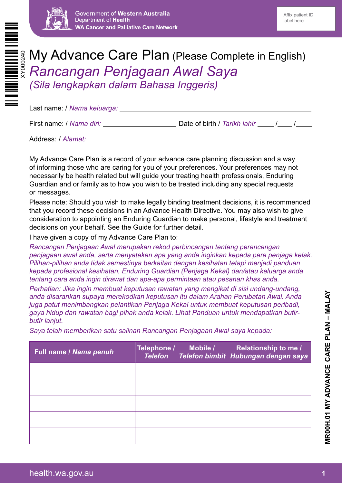

# My Advance Care Plan (Please Complete in English) *Rancangan Penjagaan Awal Saya (Sila lengkapkan dalam Bahasa Inggeris)*

| Last name: / Nama keluarga: __ |                                  |  |
|--------------------------------|----------------------------------|--|
| First name: / Nama diri:       | Date of birth / Tarikh lahir / / |  |
| Address: / Alamat:             |                                  |  |

My Advance Care Plan is a record of your advance care planning discussion and a way of informing those who are caring for you of your preferences. Your preferences may not necessarily be health related but will guide your treating health professionals, Enduring Guardian and or family as to how you wish to be treated including any special requests or messages.

Please note: Should you wish to make legally binding treatment decisions, it is recommended that you record these decisions in an Advance Health Directive. You may also wish to give consideration to appointing an Enduring Guardian to make personal, lifestyle and treatment decisions on your behalf. See the Guide for further detail.

I have given a copy of my Advance Care Plan to:

*Rancangan Penjagaan Awal merupakan rekod perbincangan tentang perancangan penjagaan awal anda, serta menyatakan apa yang anda inginkan kepada para penjaga kelak. Pilihan-pilihan anda tidak semestinya berkaitan dengan kesihatan tetapi menjadi panduan kepada profesional kesihatan, Enduring Guardian (Penjaga Kekal) dan/atau keluarga anda tentang cara anda ingin dirawat dan apa-apa permintaan atau pesanan khas anda.*

*Perhatian: Jika ingin membuat keputusan rawatan yang mengikat di sisi undang-undang, anda disarankan supaya merekodkan keputusan itu dalam Arahan Perubatan Awal. Anda juga patut menimbangkan pelantikan Penjaga Kekal untuk membuat keputusan peribadi, gaya hidup dan rawatan bagi pihak anda kelak. Lihat Panduan untuk mendapatkan butirbutir lanjut.*

*Saya telah memberikan satu salinan Rancangan Penjagaan Awal saya kepada:*

| Full name / Nama penuh | Telephone /<br><b>Telefon</b> | Mobile / | <b>Relationship to me /</b><br>Telefon bimbit Hubungan dengan saya |
|------------------------|-------------------------------|----------|--------------------------------------------------------------------|
|                        |                               |          |                                                                    |
|                        |                               |          |                                                                    |
|                        |                               |          |                                                                    |
|                        |                               |          |                                                                    |
|                        |                               |          |                                                                    |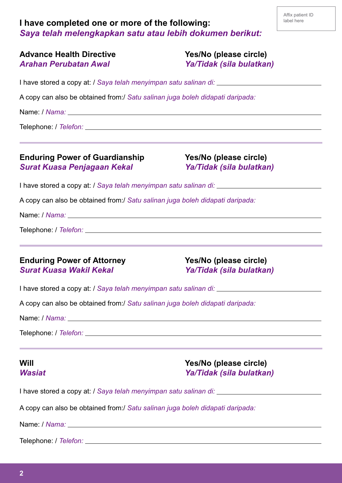# **I have completed one or more of the following:** *Saya telah melengkapkan satu atau lebih dokumen berikut:*

|                       | <b>Advance Health Directive</b> |
|-----------------------|---------------------------------|
| Arahan Perubatan Awal |                                 |

Yes/No (please circle) *Arahan Perubatan Awal Ya/Tidak (sila bulatkan)*

I have stored a copy at: / *Saya telah menyimpan satu salinan di:*

A copy can also be obtained from:/ *Satu salinan juga boleh didapati daripada:*

Name: / *Nama:*

Telephone: / *Telefon:*

#### **Enduring Power of Guardianship Yes/No (please circle)** *Surat Kuasa Penjagaan Kekal Ya/Tidak (sila bulatkan)*

I have stored a copy at: / *Saya telah menyimpan satu salinan di:*

A copy can also be obtained from:/ *Satu salinan juga boleh didapati daripada:*

Name: / *Nama:*

Telephone: / *Telefon:*

#### **Enduring Power of Attorney Manufary Manufary Yes/No (please circle)** *Surat Kuasa Wakil Kekal Ya/Tidak (sila bulatkan)*

I have stored a copy at: / *Saya telah menyimpan satu salinan di:*

A copy can also be obtained from:/ *Satu salinan juga boleh didapati daripada:*

Name: / *Nama:*

Telephone: / *Telefon:*

**Will Yes/No (please circle)** *Wasiat Ya/Tidak (sila bulatkan)*

I have stored a copy at: / *Saya telah menyimpan satu salinan di:*

A copy can also be obtained from:/ *Satu salinan juga boleh didapati daripada:*

Name: / *Nama:*

Telephone: / *Telefon:*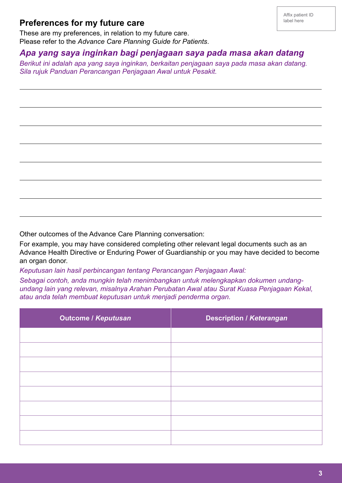#### **Preferences for my future care**

L

 $\overline{a}$ 

 $\overline{a}$ 

 $\overline{a}$ 

 $\overline{a}$ 

 $\overline{a}$ 

 $\overline{a}$ 

These are my preferences, in relation to my future care. Please refer to the *Advance Care Planning Guide for Patients*.

# *Apa yang saya inginkan bagi penjagaan saya pada masa akan datang*

*Berikut ini adalah apa yang saya inginkan, berkaitan penjagaan saya pada masa akan datang. Sila rujuk Panduan Perancangan Penjagaan Awal untuk Pesakit.*

Other outcomes of the Advance Care Planning conversation:

For example, you may have considered completing other relevant legal documents such as an Advance Health Directive or Enduring Power of Guardianship or you may have decided to become an organ donor.

*Keputusan lain hasil perbincangan tentang Perancangan Penjagaan Awal:*

*Sebagai contoh, anda mungkin telah menimbangkan untuk melengkapkan dokumen undangundang lain yang relevan, misalnya Arahan Perubatan Awal atau Surat Kuasa Penjagaan Kekal, atau anda telah membuat keputusan untuk menjadi penderma organ.*

| <b>Outcome / Keputusan</b> | <b>Description / Keterangan</b> |
|----------------------------|---------------------------------|
|                            |                                 |
|                            |                                 |
|                            |                                 |
|                            |                                 |
|                            |                                 |
|                            |                                 |
|                            |                                 |
|                            |                                 |